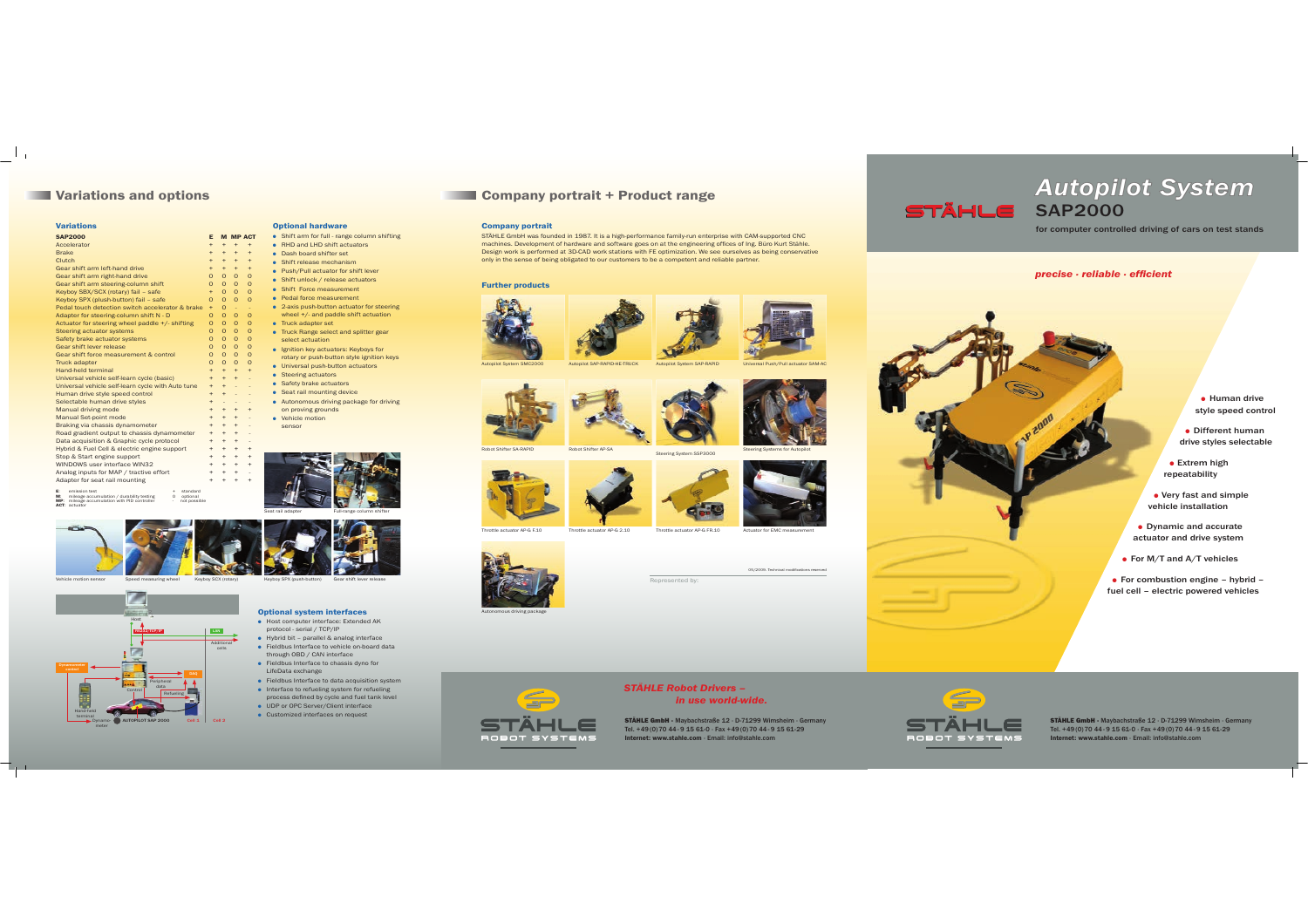$\Box^{\dagger}$  .

| <b>Variations</b>                                                                                                                                                                                |           |                          |           |                 |  |  |  |  |
|--------------------------------------------------------------------------------------------------------------------------------------------------------------------------------------------------|-----------|--------------------------|-----------|-----------------|--|--|--|--|
| <b>SAP2000</b>                                                                                                                                                                                   | E         |                          |           | <b>M MP ACT</b> |  |  |  |  |
| Accelerator                                                                                                                                                                                      | $+$       | $+$                      | $\ddot{}$ | $\ddot{}$       |  |  |  |  |
| <b>Brake</b>                                                                                                                                                                                     | $+$       | $+$                      | ÷         | $\ddot{}$       |  |  |  |  |
| Clutch                                                                                                                                                                                           | $+$       | $+$                      | ÷         | $\ddot{}$       |  |  |  |  |
| Gear shift arm left-hand drive                                                                                                                                                                   | $+$       | $+$                      | ÷         | $\ddot{}$       |  |  |  |  |
| Gear shift arm right-hand drive                                                                                                                                                                  | $\Omega$  | $\Omega$                 | $\Omega$  | $\Omega$        |  |  |  |  |
| Gear shift arm steering-column shift                                                                                                                                                             | $\Omega$  | $\Omega$                 | $\Omega$  | $\Omega$        |  |  |  |  |
| Keyboy SBX/SCX (rotary) fail - safe                                                                                                                                                              | $+$       | $\Omega$                 | $\Omega$  | $\Omega$        |  |  |  |  |
| Keyboy SPX (plush-button) fail - safe                                                                                                                                                            | $\Omega$  | $\Omega$                 | $\Omega$  | $\Omega$        |  |  |  |  |
| Pedal touch detection switch accelerator & brake                                                                                                                                                 | $+$       | $\Omega$                 | ٠         | ÷               |  |  |  |  |
| Adapter for steering-column shift N - D                                                                                                                                                          | $\Omega$  | $\Omega$                 | $\Omega$  | $\Omega$        |  |  |  |  |
| Actuator for steering wheel paddle +/- shifting                                                                                                                                                  | $\Omega$  | $\Omega$                 | $\Omega$  | $\Omega$        |  |  |  |  |
| Steering actuator systems                                                                                                                                                                        | $\Omega$  | $\Omega$                 | $\Omega$  | $\Omega$        |  |  |  |  |
| Safety brake actuator systems                                                                                                                                                                    | $\Omega$  | $\Omega$                 | $\Omega$  | $\Omega$        |  |  |  |  |
| Gear shift lever release                                                                                                                                                                         | $\Omega$  | $\Omega$                 | $\Omega$  | $\Omega$        |  |  |  |  |
| Gear shift force measurement & control                                                                                                                                                           | $\Omega$  | $\Omega$                 | $\Omega$  | $\Omega$        |  |  |  |  |
| <b>Truck adapter</b>                                                                                                                                                                             | $\Omega$  | $\Omega$                 | $\Omega$  | $\Omega$        |  |  |  |  |
| Hand-held terminal                                                                                                                                                                               | $+$       | $+$                      | ÷         | $\ddot{}$       |  |  |  |  |
| Universal vehicle self-learn cycle (basic)                                                                                                                                                       | $+$       | $+$                      | ÷         |                 |  |  |  |  |
| Universal vehicle self-learn cycle with Auto tune                                                                                                                                                | $+$       | $+$                      |           |                 |  |  |  |  |
| Human drive style speed control                                                                                                                                                                  | $+$       | $\ddot{}$                |           | ٠               |  |  |  |  |
| Selectable human drive styles                                                                                                                                                                    | $+$       | $\overline{\phantom{a}}$ | ٠         | ٠               |  |  |  |  |
| Manual driving mode                                                                                                                                                                              | $+$       | $+$                      | $\pm$     | ÷               |  |  |  |  |
| Manual Set-point mode                                                                                                                                                                            | $+$       | $+$                      | $\ddot{}$ | ٠               |  |  |  |  |
| Braking via chassis dynamometer                                                                                                                                                                  | $+$       | $\ddot{}$                | ÷         |                 |  |  |  |  |
| Road gradient output to chassis dynamometer                                                                                                                                                      | $\pm$     | $\pm$                    | ÷         | ٠               |  |  |  |  |
| Data acquisition & Graphic cycle protocol                                                                                                                                                        | $\ddot{}$ | $\ddot{}$                | $\ddot{}$ |                 |  |  |  |  |
| Hybrid & Fuel Cell & electric engine support                                                                                                                                                     | $\ddot{}$ | $\ddot{}$                | $\ddot{}$ | ÷               |  |  |  |  |
| Stop & Start engine support                                                                                                                                                                      | $\ddot{}$ | $\ddot{}$                | $\ddot{}$ | ÷               |  |  |  |  |
| WINDOWS user interface WIN32                                                                                                                                                                     | $\ddot{}$ | $\ddot{}$                | $\ddot{}$ | ÷               |  |  |  |  |
| Analog inputs for MAP / tractive effort                                                                                                                                                          |           |                          | $\ddot{}$ | ÷               |  |  |  |  |
| Adapter for seat rail mounting                                                                                                                                                                   | $\ddot{}$ | $\ddot{}$                | $\ddot{}$ | ÷               |  |  |  |  |
| F.<br>standard<br>emission test<br>÷<br>M.<br>mileage accumulation / durability testing<br>$\Omega$<br>optional<br>MP: mileage accumulation with PID controller<br>not possible<br>ACT: actuator |           |                          |           |                 |  |  |  |  |

RS232/TCP/IP

10- AUTOPILOT SAP 2000<br>[

terminal

Vehicle motion sensor

Dynamo-

| r |   | Shift arm for full - range column shifting                                       |
|---|---|----------------------------------------------------------------------------------|
|   |   | RHD and LHD shift actuators.                                                     |
|   |   | Dash board shifter set                                                           |
|   |   | Shift release mechanism                                                          |
|   |   | Push/Pull actuator for shift lever                                               |
|   | ٠ | Shift unlock / release actuators                                                 |
|   |   | Shift Force measurement                                                          |
|   |   | Pedal force measurement                                                          |
|   |   | 2-axis push-button actuator for steering<br>wheel +/- and paddle shift actuation |
|   |   | Truck adapter set                                                                |
|   |   | Truck Range select and splitter gear                                             |
|   |   | select actuation                                                                 |
|   |   | Ignition key actuators: Keyboys for                                              |
|   |   | rotary or push-button style ignition keys                                        |
|   |   | Universal push-button actuators                                                  |
|   |   | Steering actuators                                                               |
|   |   | Safety brake actuators                                                           |
|   |   | Seat rail mounting device                                                        |
|   |   | Autonomous driving package for driving                                           |
|   |   | on proving grounds                                                               |
|   |   | Vehicle motion                                                                   |
|   |   | sensor                                                                           |
|   |   |                                                                                  |
|   |   |                                                                                  |
|   |   |                                                                                  |
|   |   |                                                                                  |

**Optional hardware**

# **Variations and options Company portrait + Product range**

### **Company portrait**

STÄHLE GmbH was founded in 1987. It is a high-performance family-run enterprise with CAM-supported CNC<br>machines. Development of hardware and software goes on at the engineering offices of Ing. Büro Kurt Stähle.<br>Design work

### **Further products**









Throttle actuator AP-G F.10Throttle actuator AP-G 2.10 Throttle actuator AP-G FR.10 Actuator for EMC measurement



Autonomous driving package



Represented by:

05/2009. Technical modifications reserved



STÄHLE GmbH · Maybachstraße 12 · D-71299 Wimsheim · Germany<br>Tel. +49 (0) 70 44 · 9 15 61-0 · Fax +49 (0) 70 44 - 9 15 61-29<br><mark>Internet: www.stahle.com</mark> · Email: info@stahle.com

# *STÄHLE Robot Drivers – in use world-wide.*



**• Human drive** style speed control

• Different human drive styles selectable

 $\bullet$  Extrem high repeatability

*Autopilot System*

for computer controlled driving of cars on test stands

*precise · reliable · efficient*

**STÄHLE** SAP2000

 $\bullet$  Very fast and simple vehicle installation

• Dynamic and accurate actuator and drive system

• For M/T and A/T vehicles

 $\bullet$  For combustion engine – hybrid – fuel cell – electric powered vehicles



Seat rail adapter Full-range column shifter

### **Optional system interfaces**

cells

Cell 1 Cell 2

P**LAN** 

Refueling Peripheral dataControl

- **Host computer interface: Extended AK** protocol - serial / TCP/IP  $\bullet$  Hybrid bit – parallel & analog interface
- **•** Fieldbus Interface to vehicle on-board data through OBD / CAN interface
- **•** Fieldbus Interface to chassis dyno for LifeData exchange
- **•** Fieldbus Interface to data acquisition system O Interface to refueling system for refueling process defined by cycle and fuel tank level
- O UDP or OPC Server/Client interface O Customized interfaces on request



STÄHLE GmbH · Maybachstraße 12 · D-71299 Wimsheim · Germany<br>Tel. +49 (0) 70 44 · 9 15 61-0 · Fax +49 (0) 70 44 - 9 15 61-29<br><mark>Internet: www.stahle.com</mark> · Email: info@stahle.com